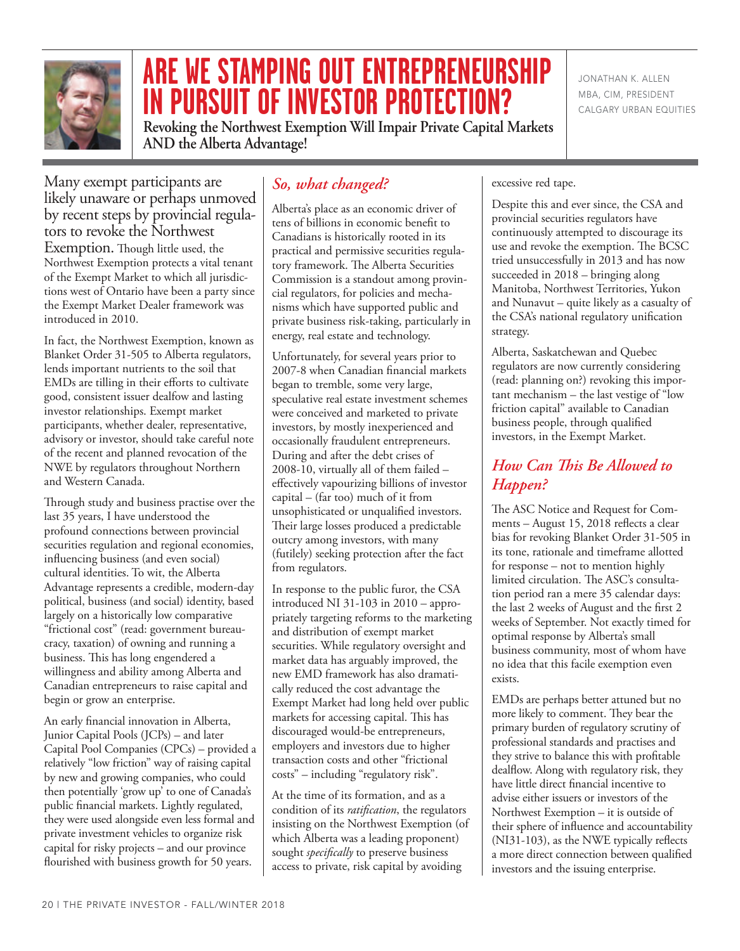

# **ARE WE STAMPING OUT ENTREPRENEURSHIP IN PURSUIT OF INVESTOR PROTECTION?**

**Revoking the Northwest Exemption Will Impair Private Capital Markets AND the Alberta Advantage!**

JONATHAN K. ALLEN MBA, CIM, PRESIDENT CALGARY URBAN EQUITIES

Many exempt participants are likely unaware or perhaps unmoved by recent steps by provincial regula- tors to revoke the Northwest Exemption. Though little used, the Northwest Exemption protects a vital tenant of the Exempt Market to which all jurisdictions west of Ontario have been a party since the Exempt Market Dealer framework was introduced in 2010.

In fact, the Northwest Exemption, known as Blanket Order 31-505 to Alberta regulators, lends important nutrients to the soil that EMDs are tilling in their efforts to cultivate good, consistent issuer dealfow and lasting investor relationships. Exempt market participants, whether dealer, representative, advisory or investor, should take careful note of the recent and planned revocation of the NWE by regulators throughout Northern and Western Canada.

Through study and business practise over the last 35 years, I have understood the profound connections between provincial securities regulation and regional economies, influencing business (and even social) cultural identities. To wit, the Alberta Advantage represents a credible, modern-day political, business (and social) identity, based largely on a historically low comparative "frictional cost" (read: government bureaucracy, taxation) of owning and running a business. This has long engendered a willingness and ability among Alberta and Canadian entrepreneurs to raise capital and begin or grow an enterprise.

An early financial innovation in Alberta, Junior Capital Pools (JCPs) – and later Capital Pool Companies (CPCs) – provided a relatively "low friction" way of raising capital by new and growing companies, who could then potentially 'grow up' to one of Canada's public financial markets. Lightly regulated, they were used alongside even less formal and private investment vehicles to organize risk capital for risky projects – and our province flourished with business growth for 50 years.

# *So, what changed?*

Alberta's place as an economic driver of tens of billions in economic benefit to Canadians is historically rooted in its practical and permissive securities regulatory framework. The Alberta Securities Commission is a standout among provincial regulators, for policies and mechanisms which have supported public and private business risk-taking, particularly in energy, real estate and technology.

Unfortunately, for several years prior to 2007-8 when Canadian financial markets began to tremble, some very large, speculative real estate investment schemes were conceived and marketed to private investors, by mostly inexperienced and occasionally fraudulent entrepreneurs. During and after the debt crises of 2008-10, virtually all of them failed – effectively vapourizing billions of investor capital – (far too) much of it from unsophisticated or unqualified investors. Their large losses produced a predictable outcry among investors, with many (futilely) seeking protection after the fact from regulators.

In response to the public furor, the CSA introduced NI 31-103 in 2010 – appropriately targeting reforms to the marketing and distribution of exempt market securities. While regulatory oversight and market data has arguably improved, the new EMD framework has also dramatically reduced the cost advantage the Exempt Market had long held over public markets for accessing capital. This has discouraged would-be entrepreneurs, employers and investors due to higher transaction costs and other "frictional costs" – including "regulatory risk".

At the time of its formation, and as a condition of its *ratification*, the regulators insisting on the Northwest Exemption (of which Alberta was a leading proponent) sought *specifically* to preserve business access to private, risk capital by avoiding

#### excessive red tape.

Despite this and ever since, the CSA and provincial securities regulators have continuously attempted to discourage its use and revoke the exemption. The BCSC tried unsuccessfully in 2013 and has now succeeded in 2018 – bringing along Manitoba, Northwest Territories, Yukon and Nunavut – quite likely as a casualty of the CSA's national regulatory unification strategy.

Alberta, Saskatchewan and Quebec regulators are now currently considering (read: planning on?) revoking this important mechanism – the last vestige of "low friction capital" available to Canadian business people, through qualified investors, in the Exempt Market.

## **How Can This Be Allowed to** *Happen?*

The ASC Notice and Request for Comments – August 15, 2018 reflects a clear bias for revoking Blanket Order 31-505 in its tone, rationale and timeframe allotted for response – not to mention highly limited circulation. The ASC's consultation period ran a mere 35 calendar days: the last 2 weeks of August and the first 2 weeks of September. Not exactly timed for optimal response by Alberta's small business community, most of whom have no idea that this facile exemption even exists.

EMDs are perhaps better attuned but no more likely to comment. They bear the primary burden of regulatory scrutiny of professional standards and practises and they strive to balance this with profitable dealflow. Along with regulatory risk, they have little direct financial incentive to advise either issuers or investors of the Northwest Exemption – it is outside of their sphere of influence and accountability  $(NI31-103)$ , as the NWE typically reflects a more direct connection between qualified investors and the issuing enterprise.